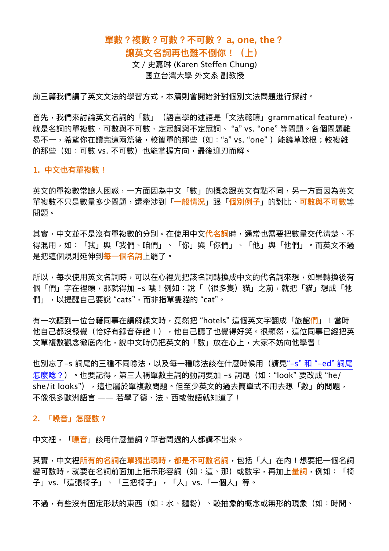## **單數?複數?可數?不可數? a, one, the?**

## **讓英⽂名詞再也難不倒你!(上)**

文 / 史嘉琳 (Karen Steffen Chung) 國立台灣⼤學 外⽂系 副教授

前三篇我們講了英文文法的學習方式,本篇則會開始針對個別文法問題進行探討。

首先,我們來討論英文名詞的「數」(語言學的述語是「文法範疇」grammatical feature), 就是名詞的單複數、可數與不可數、定冠詞與不定冠詞、 "a" vs. "one" 等問題。各個問題難 易不一,希望你在讀完這兩篇後,較簡單的那些(如:"a" vs. "one")能鏟草除根;較複雜 的那些(如:可數 vs. 不可數)也能掌握方向,最後迎刃而解。

## **1. 中⽂也有單複數!**

英文的單複數常讓人困惑,一方面因為中文「數」的概念跟英文有點不同,另一方面因為英文 單複數不只是數量多少問題,還牽涉到「**⼀般情況**」跟「**個別例⼦**」的對比、**可數與不可數**等 問題。

其實,中文並不是沒有單複數的分別。在使用中文<mark>代名詞</mark>時,通常也需要把數量交代清楚、不 得混用,如:「我」與「我們、咱們」、「你」與「你們」、「他」與「他們」。而英文不過 是把這個規則延伸到<del>每</del>一個名詞上罷了。

所以,每次使用英文名詞時,可以在心裡先把該名詞轉換成中文的代名詞來想,如果轉換後有 個「們」字在裡頭,那就得加 –s 嘍!例如:說「(很多隻)貓」之前,就把「貓」想成「牠 們」,以提醒自己要說 "cats",而非指單隻貓的 "cat"。

有⼀次聽到⼀位台籍同事在講解課⽂時,竟然把 "hotels" 這個英⽂字翻成「旅館**們**」!當時 他自己都沒發覺(恰好有錄音存證!),他自己聽了也覺得好笑。很顯然,這位同事已經把英 文單複數觀念徹底內化,說中文時仍把英文的「數」放在心上,大家不妨向他學習!

也別忘了–s 詞尾的三種不同唸法,以及每一種唸法該在什麼時候用(請見"–s" 和 "–ed" 詞尾 [怎麼唸?](https://www.ntufe.org/s-%E5%92%8C-ed-%E8%A9%9E%E5%B0%BE%E6%80%8E%E9%BA%BC%E5%94%B8%EF%BC%9F/))。也要記得,第三⼈稱單數主詞的動詞要加 -s 詞尾(如:"look" 要改成 "he/ she/it looks"),這也屬於單複數問題。但至少英文的過去簡單式不用去想「數」的問題, 不像很多歐洲語言 —— 若學了德、法、西或俄語就知道了!

## **2. 「噪⾳」怎麼數?**

中文裡,「<mark>噪音</mark>」該用什麼量詞?筆者問過的人都講不出來。

其實,中文裡<mark>所有的名詞在單獨出現時,都是不可數名詞</mark>,包括「人」在內!想要把一個名詞 變可數時,就要在名詞前面加上指示形容詞(如:這、那)或數字,再加上<mark>量詞</mark>,例如:「椅 子」vs.「這張椅子」、「三把椅子」,「人」vs.「一個人」等。

不過,有些沒有固定形狀的東西(如:水、麵粉)、較抽象的概念或無形的現象(如:時間、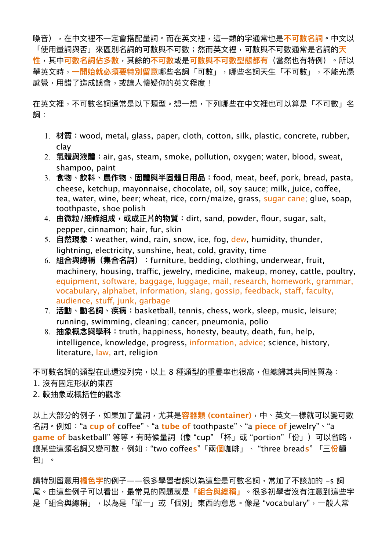噪音),在中文裡不一定會搭配量詞。而在英文裡,這一類的字通常也是**不可數名詞。**中文以 「使用量詞與否」來區別名詞的可數與不可數;然而英文裡,可數與不可數通常是名詞的<mark>天</mark> **性**,其中**可數名詞佔多數**,其餘的**不可數**或是**可數與不可數型態都有**(當然也有特例)。所以 學英文時,**一開始就必須要特別留意**哪些名詞「可數」,哪些名詞天生「不可數」,不能光憑 感覺,用錯了造成誤會,或讓人懷疑你的英文程度!

在英文裡,不可數名詞通常是以下類型。想一想,下列哪些在中文裡也可以算是「不可數」名 詞:

- 1. **材質:**wood, metal, glass, paper, cloth, cotton, silk, plastic, concrete, rubber, clay
- 2. **氣體與液體:**air, gas, steam, smoke, pollution, oxygen; water, blood, sweat, shampoo, paint
- 3. **食物、飲料、農作物、固體與半固體⽇⽤品:**food, meat, beef, pork, bread, pasta, cheese, ketchup, mayonnaise, chocolate, oil, soy sauce; milk, juice, cofee, tea, water, wine, beer; wheat, rice, corn/maize, grass, sugar cane; glue, soap, toothpaste, shoe polish
- 4. **由微粒/細條組成,或成正片的物質:**dirt, sand, powder, flour, sugar, salt, pepper, cinnamon; hair, fur, skin
- 5. **⾃然現象:**weather, wind, rain, snow, ice, fog, dew, humidity, thunder, lightning, electricity, sunshine, heat, cold, gravity, time
- 6. **組合與總稱(集合名詞):**furniture, bedding, clothing, underwear, fruit, machinery, housing, traffic, jewelry, medicine, makeup, money, cattle, poultry, equipment, software, baggage, luggage, mail, research, homework, grammar, vocabulary, alphabet, information, slang, gossip, feedback, staff, faculty, audience, stuf, junk, garbage
- 7. **活動、動名詞、疾病:**basketball, tennis, chess, work, sleep, music, leisure; running, swimming, cleaning; cancer, pneumonia, polio
- 8. **抽象概念與學科:**truth, happiness, honesty, beauty, death, fun, help, intelligence, knowledge, progress, information, advice; science, history, literature, law, art, religion

不可數名詞的類型在此還沒列完,以上 8 種類型的重疊率也很高,但總歸其共同性質為:

- 1. 沒有固定形狀的東西
- 2. 較抽象或概括性的觀念

以上⼤部分的例⼦,如果加了量詞,尤其是**容器類 (container)**,中、英⽂⼀樣就可以變可數 名詞。例如:"a **cup of** cofee"、"a **tube of** toothpaste"、"a **piece of** jewelry"、"a game of basketball" 等等。有時候量詞(像 "cup" 「杯」或 "portion" 「份」) 可以省略, 讓某些這類名詞⼜變可數,例如:"two cofee**s**"「兩**個**咖啡」、 "three bread**s**" 「三**份**麵 包」。

請特別留意用<mark>橘色字</mark>的例子——很多學習者誤以為這些是可數名詞,常加了不該加的 –s 詞 尾。由這些例⼦可以看出,最常⾒的問題就是**「組合與總稱」**。很多初學者沒有注意到這些字 是「組合與總稱」,以為是「單一」或「個別」東西的意思。像是"vocabulary",一般人常